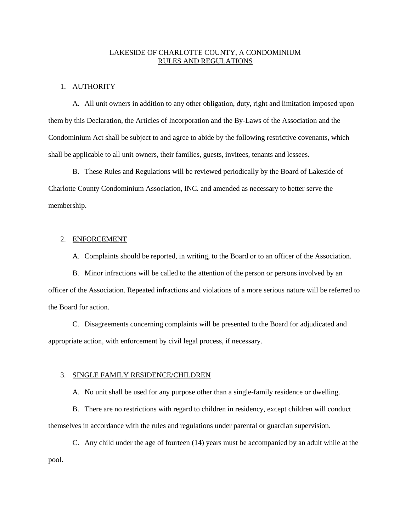# LAKESIDE OF CHARLOTTE COUNTY, A CONDOMINIUM RULES AND REGULATIONS

#### 1. AUTHORITY

A. All unit owners in addition to any other obligation, duty, right and limitation imposed upon them by this Declaration, the Articles of Incorporation and the By-Laws of the Association and the Condominium Act shall be subject to and agree to abide by the following restrictive covenants, which shall be applicable to all unit owners, their families, guests, invitees, tenants and lessees.

B. These Rules and Regulations will be reviewed periodically by the Board of Lakeside of Charlotte County Condominium Association, INC. and amended as necessary to better serve the membership.

# 2. ENFORCEMENT

A. Complaints should be reported, in writing, to the Board or to an officer of the Association.

B. Minor infractions will be called to the attention of the person or persons involved by an officer of the Association. Repeated infractions and violations of a more serious nature will be referred to the Board for action.

C. Disagreements concerning complaints will be presented to the Board for adjudicated and appropriate action, with enforcement by civil legal process, if necessary.

#### 3. SINGLE FAMILY RESIDENCE/CHILDREN

A. No unit shall be used for any purpose other than a single-family residence or dwelling.

B. There are no restrictions with regard to children in residency, except children will conduct themselves in accordance with the rules and regulations under parental or guardian supervision.

C. Any child under the age of fourteen (14) years must be accompanied by an adult while at the pool.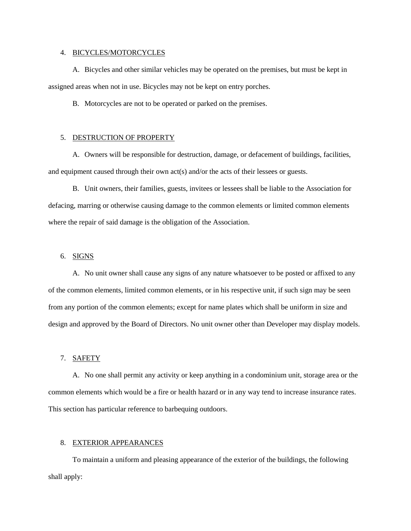#### 4. BICYCLES/MOTORCYCLES

A. Bicycles and other similar vehicles may be operated on the premises, but must be kept in assigned areas when not in use. Bicycles may not be kept on entry porches.

B. Motorcycles are not to be operated or parked on the premises.

#### 5. DESTRUCTION OF PROPERTY

A. Owners will be responsible for destruction, damage, or defacement of buildings, facilities, and equipment caused through their own  $act(s)$  and/or the acts of their lessees or guests.

B. Unit owners, their families, guests, invitees or lessees shall be liable to the Association for defacing, marring or otherwise causing damage to the common elements or limited common elements where the repair of said damage is the obligation of the Association.

# 6. SIGNS

A. No unit owner shall cause any signs of any nature whatsoever to be posted or affixed to any of the common elements, limited common elements, or in his respective unit, if such sign may be seen from any portion of the common elements; except for name plates which shall be uniform in size and design and approved by the Board of Directors. No unit owner other than Developer may display models.

# 7. SAFETY

A. No one shall permit any activity or keep anything in a condominium unit, storage area or the common elements which would be a fire or health hazard or in any way tend to increase insurance rates. This section has particular reference to barbequing outdoors.

# 8. EXTERIOR APPEARANCES

To maintain a uniform and pleasing appearance of the exterior of the buildings, the following shall apply: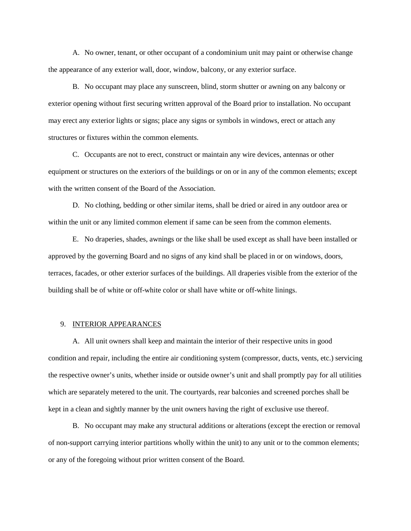A. No owner, tenant, or other occupant of a condominium unit may paint or otherwise change the appearance of any exterior wall, door, window, balcony, or any exterior surface.

B. No occupant may place any sunscreen, blind, storm shutter or awning on any balcony or exterior opening without first securing written approval of the Board prior to installation. No occupant may erect any exterior lights or signs; place any signs or symbols in windows, erect or attach any structures or fixtures within the common elements.

C. Occupants are not to erect, construct or maintain any wire devices, antennas or other equipment or structures on the exteriors of the buildings or on or in any of the common elements; except with the written consent of the Board of the Association.

D. No clothing, bedding or other similar items, shall be dried or aired in any outdoor area or within the unit or any limited common element if same can be seen from the common elements.

E. No draperies, shades, awnings or the like shall be used except as shall have been installed or approved by the governing Board and no signs of any kind shall be placed in or on windows, doors, terraces, facades, or other exterior surfaces of the buildings. All draperies visible from the exterior of the building shall be of white or off-white color or shall have white or off-white linings.

#### 9. INTERIOR APPEARANCES

A. All unit owners shall keep and maintain the interior of their respective units in good condition and repair, including the entire air conditioning system (compressor, ducts, vents, etc.) servicing the respective owner's units, whether inside or outside owner's unit and shall promptly pay for all utilities which are separately metered to the unit. The courtyards, rear balconies and screened porches shall be kept in a clean and sightly manner by the unit owners having the right of exclusive use thereof.

B. No occupant may make any structural additions or alterations (except the erection or removal of non-support carrying interior partitions wholly within the unit) to any unit or to the common elements; or any of the foregoing without prior written consent of the Board.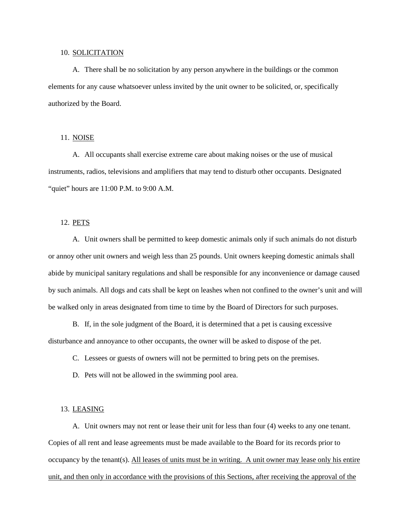#### 10. SOLICITATION

A. There shall be no solicitation by any person anywhere in the buildings or the common elements for any cause whatsoever unless invited by the unit owner to be solicited, or, specifically authorized by the Board.

# 11. NOISE

A. All occupants shall exercise extreme care about making noises or the use of musical instruments, radios, televisions and amplifiers that may tend to disturb other occupants. Designated "quiet" hours are 11:00 P.M. to 9:00 A.M.

# 12. PETS

A. Unit owners shall be permitted to keep domestic animals only if such animals do not disturb or annoy other unit owners and weigh less than 25 pounds. Unit owners keeping domestic animals shall abide by municipal sanitary regulations and shall be responsible for any inconvenience or damage caused by such animals. All dogs and cats shall be kept on leashes when not confined to the owner's unit and will be walked only in areas designated from time to time by the Board of Directors for such purposes.

B. If, in the sole judgment of the Board, it is determined that a pet is causing excessive disturbance and annoyance to other occupants, the owner will be asked to dispose of the pet.

C. Lessees or guests of owners will not be permitted to bring pets on the premises.

D. Pets will not be allowed in the swimming pool area.

#### 13. LEASING

A. Unit owners may not rent or lease their unit for less than four (4) weeks to any one tenant. Copies of all rent and lease agreements must be made available to the Board for its records prior to occupancy by the tenant(s). All leases of units must be in writing. A unit owner may lease only his entire unit, and then only in accordance with the provisions of this Sections, after receiving the approval of the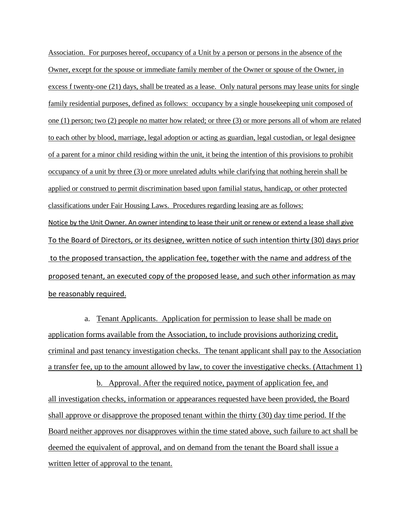Association. For purposes hereof, occupancy of a Unit by a person or persons in the absence of the Owner, except for the spouse or immediate family member of the Owner or spouse of the Owner, in excess f twenty-one (21) days, shall be treated as a lease. Only natural persons may lease units for single family residential purposes, defined as follows: occupancy by a single housekeeping unit composed of one (1) person; two (2) people no matter how related; or three (3) or more persons all of whom are related to each other by blood, marriage, legal adoption or acting as guardian, legal custodian, or legal designee of a parent for a minor child residing within the unit, it being the intention of this provisions to prohibit occupancy of a unit by three (3) or more unrelated adults while clarifying that nothing herein shall be applied or construed to permit discrimination based upon familial status, handicap, or other protected classifications under Fair Housing Laws. Procedures regarding leasing are as follows: Notice by the Unit Owner. An owner intending to lease their unit or renew or extend a lease shall give To the Board of Directors, or its designee, written notice of such intention thirty (30) days prior to the proposed transaction, the application fee, together with the name and address of the proposed tenant, an executed copy of the proposed lease, and such other information as may be reasonably required.

a. Tenant Applicants. Application for permission to lease shall be made on application forms available from the Association, to include provisions authorizing credit, criminal and past tenancy investigation checks. The tenant applicant shall pay to the Association a transfer fee, up to the amount allowed by law, to cover the investigative checks. (Attachment 1)

b. Approval. After the required notice, payment of application fee, and all investigation checks, information or appearances requested have been provided, the Board shall approve or disapprove the proposed tenant within the thirty (30) day time period. If the Board neither approves nor disapproves within the time stated above, such failure to act shall be deemed the equivalent of approval, and on demand from the tenant the Board shall issue a written letter of approval to the tenant.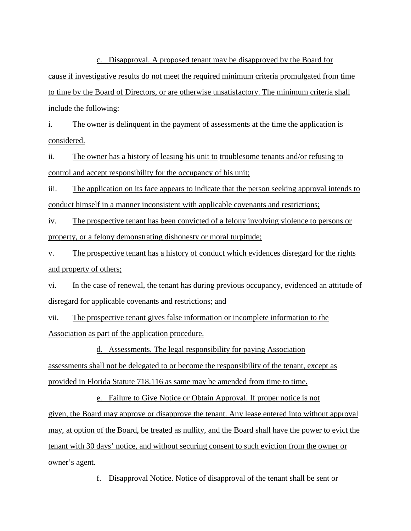c. Disapproval. A proposed tenant may be disapproved by the Board for cause if investigative results do not meet the required minimum criteria promulgated from time to time by the Board of Directors, or are otherwise unsatisfactory. The minimum criteria shall include the following:

i. The owner is delinquent in the payment of assessments at the time the application is considered.

ii. The owner has a history of leasing his unit to troublesome tenants and/or refusing to control and accept responsibility for the occupancy of his unit;

iii. The application on its face appears to indicate that the person seeking approval intends to conduct himself in a manner inconsistent with applicable covenants and restrictions;

iv. The prospective tenant has been convicted of a felony involving violence to persons or property, or a felony demonstrating dishonesty or moral turpitude;

v. The prospective tenant has a history of conduct which evidences disregard for the rights and property of others;

vi. In the case of renewal, the tenant has during previous occupancy, evidenced an attitude of disregard for applicable covenants and restrictions; and

vii. The prospective tenant gives false information or incomplete information to the Association as part of the application procedure.

d. Assessments. The legal responsibility for paying Association assessments shall not be delegated to or become the responsibility of the tenant, except as provided in Florida Statute 718.116 as same may be amended from time to time.

e. Failure to Give Notice or Obtain Approval. If proper notice is not given, the Board may approve or disapprove the tenant. Any lease entered into without approval may, at option of the Board, be treated as nullity, and the Board shall have the power to evict the tenant with 30 days' notice, and without securing consent to such eviction from the owner or owner's agent.

f. Disapproval Notice. Notice of disapproval of the tenant shall be sent or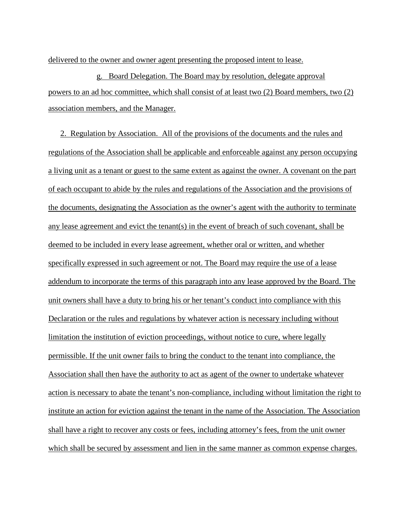delivered to the owner and owner agent presenting the proposed intent to lease.

g. Board Delegation. The Board may by resolution, delegate approval powers to an ad hoc committee, which shall consist of at least two (2) Board members, two (2) association members, and the Manager.

2. Regulation by Association. All of the provisions of the documents and the rules and regulations of the Association shall be applicable and enforceable against any person occupying a living unit as a tenant or guest to the same extent as against the owner. A covenant on the part of each occupant to abide by the rules and regulations of the Association and the provisions of the documents, designating the Association as the owner's agent with the authority to terminate any lease agreement and evict the tenant(s) in the event of breach of such covenant, shall be deemed to be included in every lease agreement, whether oral or written, and whether specifically expressed in such agreement or not. The Board may require the use of a lease addendum to incorporate the terms of this paragraph into any lease approved by the Board. The unit owners shall have a duty to bring his or her tenant's conduct into compliance with this Declaration or the rules and regulations by whatever action is necessary including without limitation the institution of eviction proceedings, without notice to cure, where legally permissible. If the unit owner fails to bring the conduct to the tenant into compliance, the Association shall then have the authority to act as agent of the owner to undertake whatever action is necessary to abate the tenant's non-compliance, including without limitation the right to institute an action for eviction against the tenant in the name of the Association. The Association shall have a right to recover any costs or fees, including attorney's fees, from the unit owner which shall be secured by assessment and lien in the same manner as common expense charges.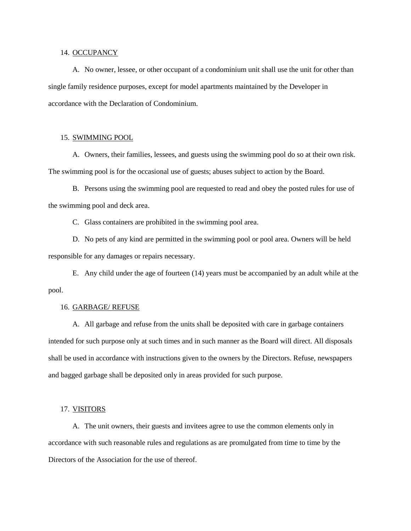#### 14. OCCUPANCY

A. No owner, lessee, or other occupant of a condominium unit shall use the unit for other than single family residence purposes, except for model apartments maintained by the Developer in accordance with the Declaration of Condominium.

# 15. SWIMMING POOL

A. Owners, their families, lessees, and guests using the swimming pool do so at their own risk. The swimming pool is for the occasional use of guests; abuses subject to action by the Board.

B. Persons using the swimming pool are requested to read and obey the posted rules for use of the swimming pool and deck area.

C. Glass containers are prohibited in the swimming pool area.

D. No pets of any kind are permitted in the swimming pool or pool area. Owners will be held responsible for any damages or repairs necessary.

E. Any child under the age of fourteen (14) years must be accompanied by an adult while at the pool.

#### 16. GARBAGE/ REFUSE

A. All garbage and refuse from the units shall be deposited with care in garbage containers intended for such purpose only at such times and in such manner as the Board will direct. All disposals shall be used in accordance with instructions given to the owners by the Directors. Refuse, newspapers and bagged garbage shall be deposited only in areas provided for such purpose.

#### 17. VISITORS

A. The unit owners, their guests and invitees agree to use the common elements only in accordance with such reasonable rules and regulations as are promulgated from time to time by the Directors of the Association for the use of thereof.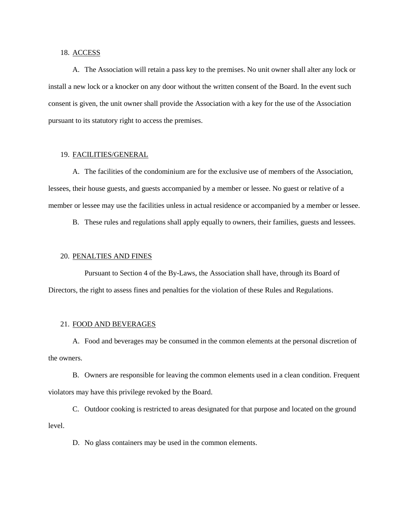#### 18. ACCESS

A. The Association will retain a pass key to the premises. No unit owner shall alter any lock or install a new lock or a knocker on any door without the written consent of the Board. In the event such consent is given, the unit owner shall provide the Association with a key for the use of the Association pursuant to its statutory right to access the premises.

# 19. FACILITIES/GENERAL

A. The facilities of the condominium are for the exclusive use of members of the Association, lessees, their house guests, and guests accompanied by a member or lessee. No guest or relative of a member or lessee may use the facilities unless in actual residence or accompanied by a member or lessee.

B. These rules and regulations shall apply equally to owners, their families, guests and lessees.

#### 20. PENALTIES AND FINES

Pursuant to Section 4 of the By-Laws, the Association shall have, through its Board of Directors, the right to assess fines and penalties for the violation of these Rules and Regulations.

### 21. FOOD AND BEVERAGES

A. Food and beverages may be consumed in the common elements at the personal discretion of the owners.

B. Owners are responsible for leaving the common elements used in a clean condition. Frequent violators may have this privilege revoked by the Board.

C. Outdoor cooking is restricted to areas designated for that purpose and located on the ground level.

D. No glass containers may be used in the common elements.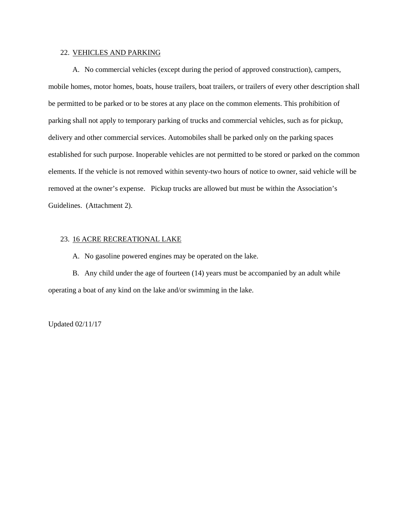## 22. VEHICLES AND PARKING

A. No commercial vehicles (except during the period of approved construction), campers, mobile homes, motor homes, boats, house trailers, boat trailers, or trailers of every other description shall be permitted to be parked or to be stores at any place on the common elements. This prohibition of parking shall not apply to temporary parking of trucks and commercial vehicles, such as for pickup, delivery and other commercial services. Automobiles shall be parked only on the parking spaces established for such purpose. Inoperable vehicles are not permitted to be stored or parked on the common elements. If the vehicle is not removed within seventy-two hours of notice to owner, said vehicle will be removed at the owner's expense. Pickup trucks are allowed but must be within the Association's Guidelines. (Attachment 2).

# 23. 16 ACRE RECREATIONAL LAKE

A. No gasoline powered engines may be operated on the lake.

B. Any child under the age of fourteen (14) years must be accompanied by an adult while operating a boat of any kind on the lake and/or swimming in the lake.

Updated 02/11/17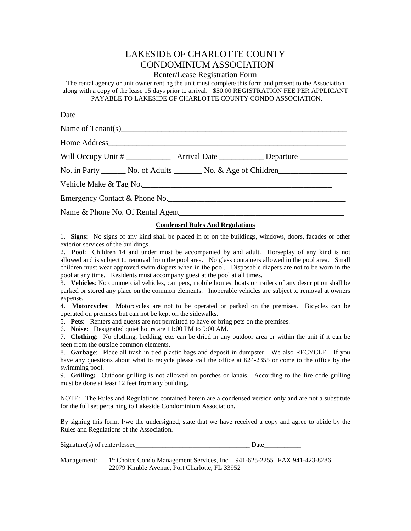# LAKESIDE OF CHARLOTTE COUNTY CONDOMINIUM ASSOCIATION

Renter/Lease Registration Form

The rental agency or unit owner renting the unit must complete this form and present to the Association along with a copy of the lease 15 days prior to arrival. \$50.00 REGISTRATION FEE PER APPLICANT PAYABLE TO LAKESIDE OF CHARLOTTE COUNTY CONDO ASSOCIATION.

| Will Occupy Unit # ________________ Arrival Date ______________ Departure _____________ |
|-----------------------------------------------------------------------------------------|
| No. in Party ________ No. of Adults ________ No. & Age of Children                      |
|                                                                                         |
| Emergency Contact & Phone No.                                                           |
|                                                                                         |
|                                                                                         |

# **Condensed Rules And Regulations**

1. **Signs**: No signs of any kind shall be placed in or on the buildings, windows, doors, facades or other exterior services of the buildings.

2. **Pool**: Children 14 and under must be accompanied by and adult. Horseplay of any kind is not allowed and is subject to removal from the pool area. No glass containers allowed in the pool area. Small children must wear approved swim diapers when in the pool. Disposable diapers are not to be worn in the pool at any time. Residents must accompany guest at the pool at all times.

3. **Vehicles**: No commercial vehicles, campers, mobile homes, boats or trailers of any description shall be parked or stored any place on the common elements. Inoperable vehicles are subject to removal at owners expense.

4. **Motorcycles**: Motorcycles are not to be operated or parked on the premises. Bicycles can be operated on premises but can not be kept on the sidewalks.

5. **Pets**: Renters and guests are not permitted to have or bring pets on the premises.

6. **Noise**: Designated quiet hours are 11:00 PM to 9:00 AM.

7. **Clothing**: No clothing, bedding, etc. can be dried in any outdoor area or within the unit if it can be seen from the outside common elements.

8. **Garbage**: Place all trash in tied plastic bags and deposit in dumpster. We also RECYCLE. If you have any questions about what to recycle please call the office at 624-2355 or come to the office by the swimming pool.

9. **Grilling:** Outdoor grilling is not allowed on porches or lanais. According to the fire code grilling must be done at least 12 feet from any building.

NOTE: The Rules and Regulations contained herein are a condensed version only and are not a substitute for the full set pertaining to Lakeside Condominium Association.

By signing this form, I/we the undersigned, state that we have received a copy and agree to abide by the Rules and Regulations of the Association.

| Signature(s) of renter/lessee |  |
|-------------------------------|--|
|                               |  |

Management: 1st Choice Condo Management Services, Inc. 941-625-2255 FAX 941-423-8286 22079 Kimble Avenue, Port Charlotte, FL 33952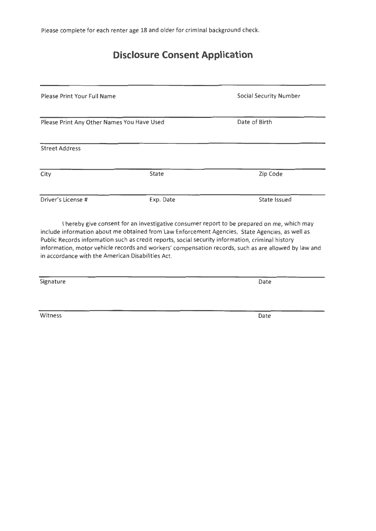Please complete for each renter age 18 and older for criminal background check.

# **Disclosure Consent Application**

| Please Print Your Full Name<br>Please Print Any Other Names You Have Used |              | <b>Social Security Number</b><br>Date of Birth |  |
|---------------------------------------------------------------------------|--------------|------------------------------------------------|--|
|                                                                           |              |                                                |  |
| City                                                                      | <b>State</b> | Zip Code                                       |  |
| Driver's License #                                                        | Exp. Date    | State Issued                                   |  |

I hereby give consent for an investigative consumer report to be prepared on me, which may include information about me obtained from Law Enforcement Agencies, State Agencies, as well as Public Records information such as credit reports, social security information, criminal history information, motor vehicle records and workers' compensation records, such as are allowed by law and in accordance with the American Disabilities Act.

Signature Date

witness **Date**